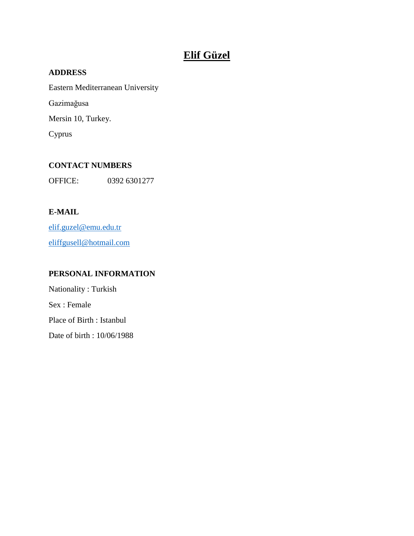# **Elif Güzel**

## **ADDRESS**

Eastern Mediterranean University

Gazimağusa

Mersin 10, Turkey.

Cyprus

# **CONTACT NUMBERS**

OFFICE: 0392 6301277

# **E-MAIL**

[elif.guzel@emu.edu.tr](mailto:elif.guzel@emu.edu.tr) [eliffgusell@hotmail.com](mailto:eliffgusell@hotmail.com)

# **PERSONAL INFORMATION**

Nationality : Turkish Sex : Female Place of Birth : Istanbul Date of birth : 10/06/1988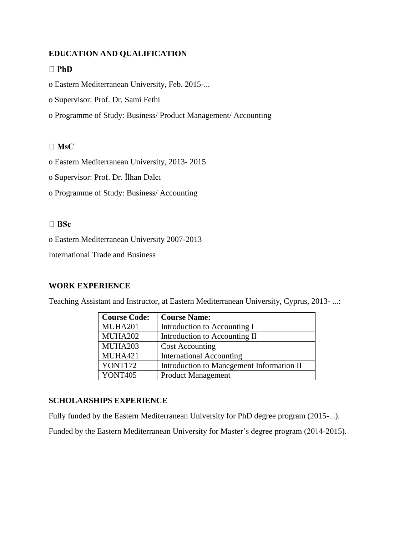### **EDUCATION AND QUALIFICATION**

#### $\Box$  PhD

o Eastern Mediterranean University, Feb. 2015-...

- o Supervisor: Prof. Dr. Sami Fethi
- o Programme of Study: Business/ Product Management/ Accounting

### $\Box$  MsC

- o Eastern Mediterranean University, 2013- 2015
- o Supervisor: Prof. Dr. İlhan Dalcı
- o Programme of Study: Business/ Accounting

#### $\Box$  BSc

o Eastern Mediterranean University 2007-2013

International Trade and Business

#### **WORK EXPERIENCE**

Teaching Assistant and Instructor, at Eastern Mediterranean University, Cyprus, 2013- ...:

| <b>Course Code:</b> | <b>Course Name:</b>                       |
|---------------------|-------------------------------------------|
| MUHA201             | Introduction to Accounting I              |
| MUHA202             | Introduction to Accounting II             |
| MUHA203             | <b>Cost Accounting</b>                    |
| MUHA421             | <b>International Accounting</b>           |
| YONT172             | Introduction to Manegement Information II |
| <b>YONT405</b>      | <b>Product Management</b>                 |

#### **SCHOLARSHIPS EXPERIENCE**

Fully funded by the Eastern Mediterranean University for PhD degree program (2015-...).

Funded by the Eastern Mediterranean University for Master's degree program (2014-2015).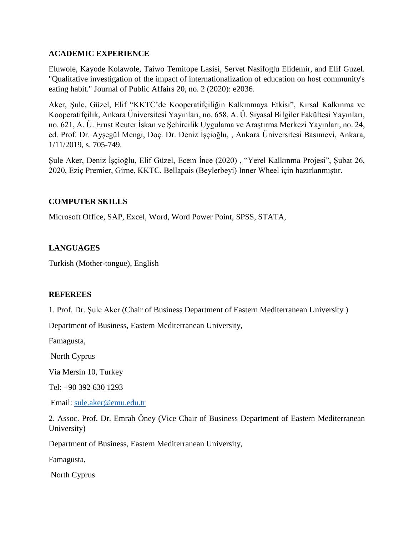### **ACADEMIC EXPERIENCE**

Eluwole, Kayode Kolawole, Taiwo Temitope Lasisi, Servet Nasifoglu Elidemir, and Elif Guzel. "Qualitative investigation of the impact of internationalization of education on host community's eating habit." Journal of Public Affairs 20, no. 2 (2020): e2036.

Aker, Şule, Güzel, Elif "KKTC'de Kooperatifçiliğin Kalkınmaya Etkisi", Kırsal Kalkınma ve Kooperatifçilik, Ankara Üniversitesi Yayınları, no. 658, A. Ü. Siyasal Bilgiler Fakültesi Yayınları, no. 621, A. Ü. Ernst Reuter İskan ve Şehircilik Uygulama ve Araştırma Merkezi Yayınları, no. 24, ed. Prof. Dr. Ayşegül Mengi, Doç. Dr. Deniz İşçioğlu, , Ankara Üniversitesi Basımevi, Ankara, 1/11/2019, s. 705-749.

Şule Aker, Deniz İşçioğlu, Elif Güzel, Ecem İnce (2020) , "Yerel Kalkınma Projesi", Şubat 26, 2020, Eziç Premier, Girne, KKTC. Bellapais (Beylerbeyi) Inner Wheel için hazırlanmıştır.

### **COMPUTER SKILLS**

Microsoft Office, SAP, Excel, Word, Word Power Point, SPSS, STATA,

### **LANGUAGES**

Turkish (Mother-tongue), English

#### **REFEREES**

1. Prof. Dr. Şule Aker (Chair of Business Department of Eastern Mediterranean University )

Department of Business, Eastern Mediterranean University,

Famagusta,

North Cyprus

Via Mersin 10, Turkey

Tel: +90 392 630 1293

Email: [sule.aker@emu.edu.tr](mailto:sule.aker@emu.edu.tr)

2. Assoc. Prof. Dr. Emrah Öney (Vice Chair of Business Department of Eastern Mediterranean University)

Department of Business, Eastern Mediterranean University,

Famagusta,

North Cyprus